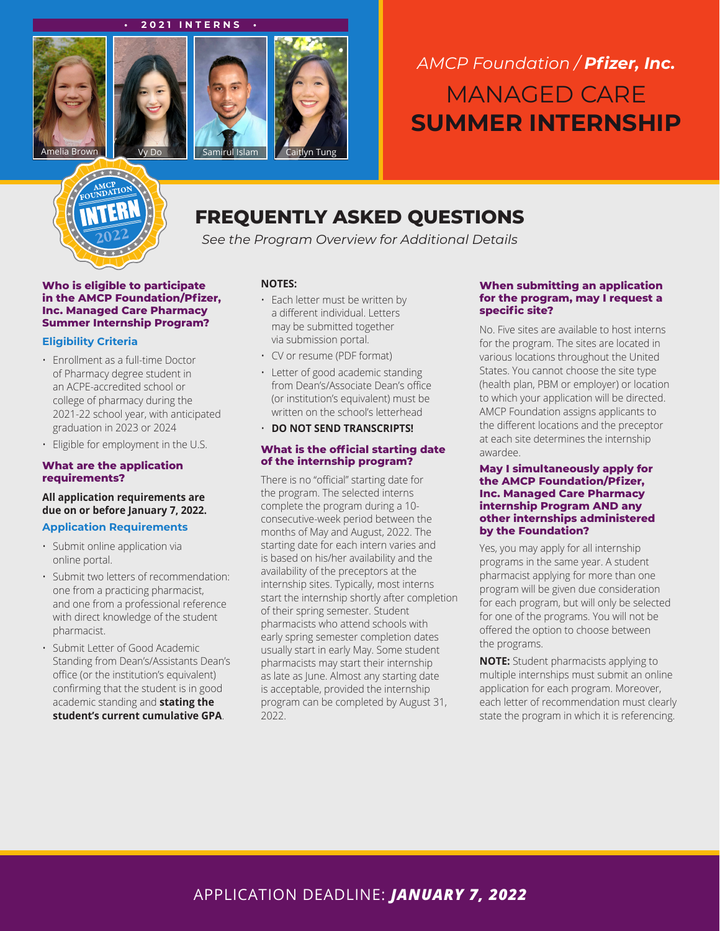#### **• 2021 INTERNS •**



# *AMCP Foundation / Pfizer, Inc.* MANAGED CARE **SUMMER INTERNSHIP**



## **FREQUENTLY ASKED QUESTIONS**

*See the Program Overview for Additional Details*

**Who is eligible to participate in the AMCP Foundation/Pfizer, Inc. Managed Care Pharmacy Summer Internship Program?**

#### **Eligibility Criteria**

- Enrollment as a full-time Doctor of Pharmacy degree student in an ACPE-accredited school or college of pharmacy during the 2021-22 school year, with anticipated graduation in 2023 or 2024
- Eligible for employment in the U.S.

#### **What are the application requirements?**

**All application requirements are due on or before January 7, 2022.**

#### **Application Requirements**

- Submit online application via online portal.
- Submit two letters of recommendation: one from a practicing pharmacist, and one from a professional reference with direct knowledge of the student pharmacist.
- Submit Letter of Good Academic Standing from Dean's/Assistants Dean's office (or the institution's equivalent) confirming that the student is in good academic standing and **stating the student's current cumulative GPA**.

#### **NOTES:**

- Each letter must be written by a different individual. Letters may be submitted together via submission portal.
- CV or resume (PDF format)
- Letter of good academic standing from Dean's/Associate Dean's office (or institution's equivalent) must be written on the school's letterhead
- **DO NOT SEND TRANSCRIPTS!**

#### **What is the official starting date of the internship program?**

There is no "official" starting date for the program. The selected interns complete the program during a 10 consecutive-week period between the months of May and August, 2022. The starting date for each intern varies and is based on his/her availability and the availability of the preceptors at the internship sites. Typically, most interns start the internship shortly after completion of their spring semester. Student pharmacists who attend schools with early spring semester completion dates usually start in early May. Some student pharmacists may start their internship as late as June. Almost any starting date is acceptable, provided the internship program can be completed by August 31, 2022.

#### **When submitting an application for the program, may I request a specific site?**

No. Five sites are available to host interns for the program. The sites are located in various locations throughout the United States. You cannot choose the site type (health plan, PBM or employer) or location to which your application will be directed. AMCP Foundation assigns applicants to the different locations and the preceptor at each site determines the internship awardee.

#### **May I simultaneously apply for the AMCP Foundation/Pfizer, Inc. Managed Care Pharmacy internship Program AND any other internships administered by the Foundation?**

Yes, you may apply for all internship programs in the same year. A student pharmacist applying for more than one program will be given due consideration for each program, but will only be selected for one of the programs. You will not be offered the option to choose between the programs.

**NOTE:** Student pharmacists applying to multiple internships must submit an online application for each program. Moreover, each letter of recommendation must clearly state the program in which it is referencing.